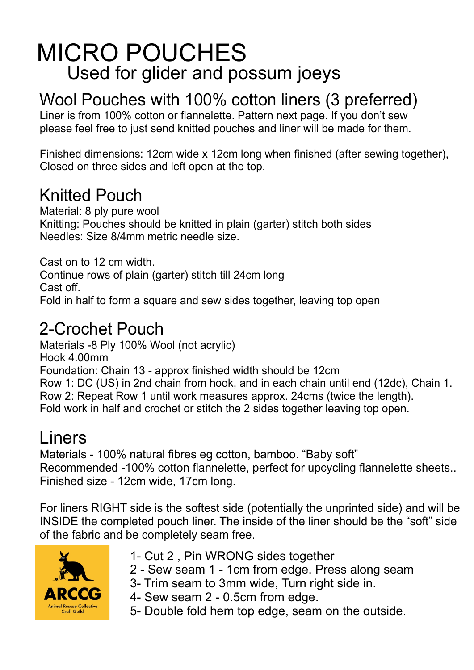# MICRO POUCHES Used for glider and possum joeys

# Wool Pouches with 100% cotton liners (3 preferred)

Liner is from 100% cotton or flannelette. Pattern next page. If you don't sew please feel free to just send knitted pouches and liner will be made for them.

Finished dimensions: 12cm wide x 12cm long when finished (after sewing together), Closed on three sides and left open at the top.

#### Knitted Pouch

Material: 8 ply pure wool Knitting: Pouches should be knitted in plain (garter) stitch both sides Needles: Size 8/4mm metric needle size.

Cast on to 12 cm width. Continue rows of plain (garter) stitch till 24cm long Cast off. Fold in half to form a square and sew sides together, leaving top open

## 2-Crochet Pouch

Materials -8 Ply 100% Wool (not acrylic) Hook 4.00mm Foundation: Chain 13 - approx finished width should be 12cm Row 1: DC (US) in 2nd chain from hook, and in each chain until end (12dc), Chain 1. Row 2: Repeat Row 1 until work measures approx. 24cms (twice the length). Fold work in half and crochet or stitch the 2 sides together leaving top open.

## Liners

Materials - 100% natural fibres eg cotton, bamboo. "Baby soft" Recommended -100% cotton flannelette, perfect for upcycling flannelette sheets.. Finished size - 12cm wide, 17cm long.

For liners RIGHT side is the softest side (potentially the unprinted side) and will be INSIDE the completed pouch liner. The inside of the liner should be the "soft" side of the fabric and be completely seam free.



- 1- Cut 2 , Pin WRONG sides together
- 2 Sew seam 1 1cm from edge. Press along seam
- 3- Trim seam to 3mm wide, Turn right side in.
- 4- Sew seam 2 0.5cm from edge.
- 5- Double fold hem top edge, seam on the outside.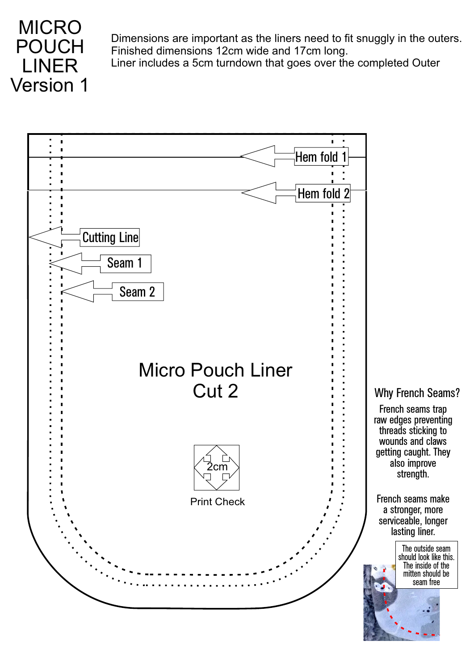

Dimensions are important as the liners need to fit snuggly in the outers. Finished dimensions 12cm wide and 17cm long.

Liner includes a 5cm turndown that goes over the completed Outer